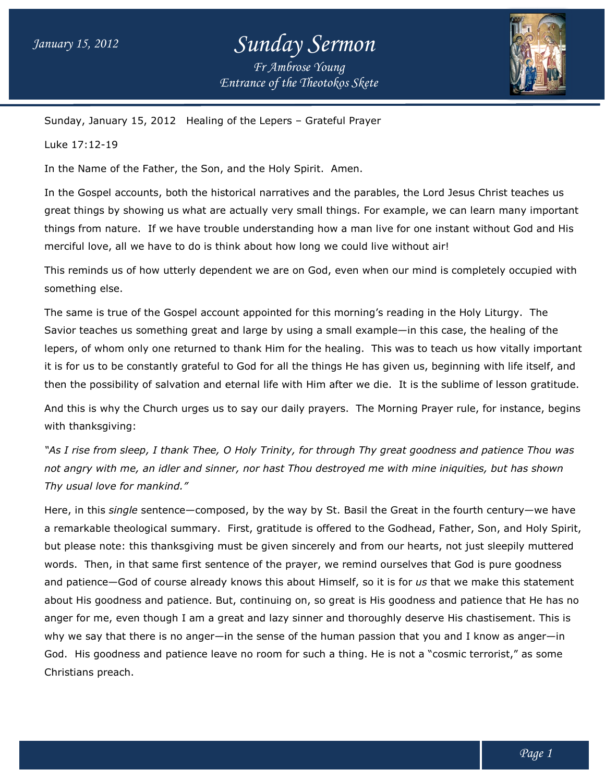## *Entrance of the Theotokos Skete Sunday Sermon Fr Ambrose Young*



Sunday, January 15, 2012 Healing of the Lepers - Grateful Prayer

Luke 17:12-19

In the Name of the Father, the Son, and the Holy Spirit. Amen.

In the Gospel accounts, both the historical narratives and the parables, the Lord Jesus Christ teaches us great things by showing us what are actually very small things. For example, we can learn many important In the Gospel accounts, both the historical narratives and the parables, the Lord Jesus Christ teaches us<br>great things by showing us what are actually very small things. For example, we can learn many important<br>things from things from nature. If we have trouble understanding how a man live for one insta<br>merciful love, all we have to do is think about how long we could live without air!

This reminds us of how utterly dependent we are on God, even when our mind is completely occupied with something else. merciful love, all we have to do is think about how long we could live without air!<br>This reminds us of how utterly dependent we are on God, even when our mind is completely occupied w<br>something else.<br>The same is true of th

The same is true of the Gospel account appointed for this morning's reading in the Holy Liturgy. Liturgy. The lepers, of whom only one returned to thank Him for the healing. This was to teach us how vitally important it is for us to be constantly grateful to God for all the things He has given us, beginning with life itself, and it is for us to be constantly grateful to God for all the things He has given us, beginning with life itself, and<br>then the possibility of salvation and eternal life with Him after we die. It is the sublime of lesson grati nple—in this case, the healing of the<br>his was to teach us how vitally importan:<br>i given us, beginning with life itself, and<br>lie. It is the sublime of lesson gratitude.<br>Morning Prayer rule, for instance, begins

And this is why the Church urges us to say our daily prayers. The Morning Prayer rule, for instance, begins with thanksgiving:

"As I rise from sleep, I thank Thee, O Holy Trinity, for through Thy great goodness and patience Thou was "As I rise from sleep, I thank Thee, O Holy Trinity, for through Thy great goodness and patience Thou w<br>not angry with me, an idler and sinner, nor hast Thou destroyed me with mine iniquities, but has shown *Thy usual love for mankind."*

Here, in this *single* sentence—composed, by the way by St. Basil the Great in the fourth century—we have Here, in this *single* sentence—composed, by the way by St. Basil the Great in the fourth century—we have<br>a remarkable theological summary. First, gratitude is offered to the Godhead, Father, Son, and Holy Spirit, but please note: this thanksgiving must be given sincerely and from our hearts, not just sleepily muttered words. Then, in that same first sentence of the prayer, we remind ourselves that God is pure goodness but please note: this thanksgiving must be given sincerely and from our hearts, not just sleepily muttered<br>words. Then, in that same first sentence of the prayer, we remind ourselves that God is pure goodness<br>and patience a remarkable theological summary. First, gratitude is offered to the Godhead, Father, Son, and Holy Spirit,<br>but please note: this thanksgiving must be given sincerely and from our hearts, not just sleepily muttered<br>words. anger for me, even though I am a great and lazy sinner and thoroughly deserve His chastisement. This is why we say that there is no anger—in the sense of the human passion that you and I know as anger—in God. His goodness and patience leave no room for such a thing. He is not a "cosmic terrorist," as some Christians preach. goodness and patience. But, continuing on, so great is His goodness and patience tha<br>me, even though I am a great and lazy sinner and thoroughly deserve His chastiseme<br>ay that there is no anger—in the sense of the human pa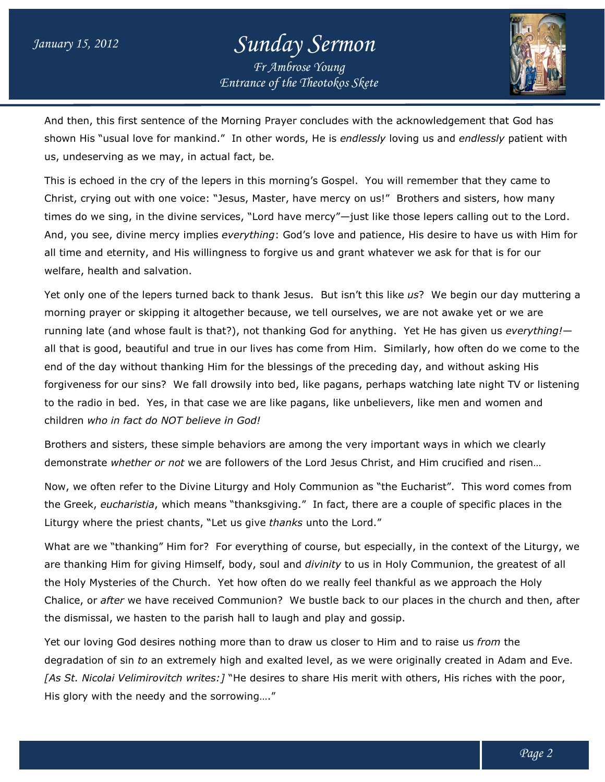## *Entrance of the Theotokos Skete Sunday Sermon Fr Ambrose Young*



And then, this first sentence of the Morning Prayer concludes with the acknowledgement that God has And then, this first sentence of the Morning Prayer concludes with the acknowledgement that God has<br>shown His "usual love for mankind." In other words, He is *endlessly* loving us and *endlessly* patient with us, undeserving as we may, in actual fact, be.

us, undeserving as we may, in actual fact, be.<br>This is echoed in the cry of the lepers in this morning's Gospel. You will remember that they came to Christ, crying out with one voice: "Jesus, Master, have mercy on us!" Brothers and sisters, how many Christ, crying out with one voice: "Jesus, Master, have mercy on us!" Brothers and sisters, how many<br>times do we sing, in the divine services, "Lord have mercy"—just like those lepers calling out to the Lord. And, you see, divine mercy implies *everything*: God's love and patience, His desire to have us with Him for all time and eternity, and His willingness to forgive us and grant whatever we ask for that is for our welfare, health and salvation.

Yet only one of the lepers turned back to thank Jesus. But isn't this like us? We begin our day muttering a morning prayer or skipping it altogether because, we tell ourselves, we are not awake yet or we are running late (and whose fault is that?), not thanking God for anything. Yet He has given us *everything!* all that is good, beautiful and true in our lives has come from Him. Similarly, how often do we come to the end of the day without thanking Him for the blessings of the preceding day, and without asking His all that is good, beautiful and true in our lives has come from Him. Similarly, how often do we come to the<br>end of the day without thanking Him for the blessings of the preceding day, and without asking His<br>forgiveness fo to the radio in bed. Yes, in that case we are like pagans, like unbelievers, like men and women and children *who in fact do NOT believe in God!* f the day without thanking Him for the blessings of the preceding day, and without asking His<br>eness for our sins? We fall drowsily into bed, like pagans, perhaps watching late night TV or listeni<br>radio in bed. Yes, in that

Brothers and sisters, these simple behaviors are among the very important ways in which we clearly demonstrate *whether or not* we are followers of the Lord Jesus Christ, and Him crucified and risen…

Now, we often refer to the Divine Liturgy and Holy Communion as "the Eucharist". Eucharist". This word comes from the Greek, *eucharistia*, which means "thanksgiving." In fact, there are a couple of specific places in the Liturgy where the priest chants, "Let us give *thanks* unto the Lord." the Greek, *eucharistia*, which means "thanksgiving." In fact, there are a couple of specific places in the<br>Liturgy where the priest chants, "Let us give *thanks* unto the Lord."<br>What are we "thanking" Him for? For everyth

are thanking Him for giving Himself, body, soul and *divinity* to us in Holy Communion, the greatest of all the Holy Mysteries of the Church. Yet how often do we really feel thankful as we approach the Holy the Holy Mysteries of the Church. Yet how often do we really feel thankful as we approach the Holy<br>Chalice, or *after* we have received Communion? We bustle back to our places in the church and then, after the dismissal, we hasten to the parish hall to laugh and play and gossip.

Yet our loving God desires nothing more than to draw us closer to Him and to raise us *from* the the dismissal, we hasten to the parish hall to laugh and play and gossip.<br>Yet our loving God desires nothing more than to draw us closer to Him and to raise us *from* the<br>degradation of sin *to* an extremely high and exalt [As St. Nicolai Velimirovitch writes:] "He desires to share His merit with others, His riches with the poor, His glory with the needy and the sorrowing...."